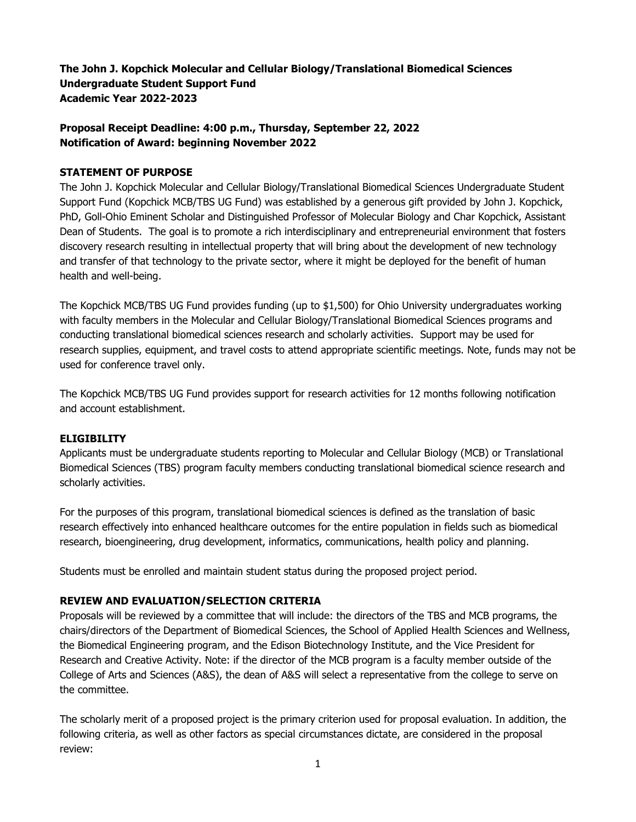**The John J. Kopchick Molecular and Cellular Biology/Translational Biomedical Sciences Undergraduate Student Support Fund Academic Year 2022-2023** 

# **Proposal Receipt Deadline: 4:00 p.m., Thursday, September 22, 2022 Notification of Award: beginning November 2022**

### **STATEMENT OF PURPOSE**

The John J. Kopchick Molecular and Cellular Biology/Translational Biomedical Sciences Undergraduate Student Support Fund (Kopchick MCB/TBS UG Fund) was established by a generous gift provided by John J. Kopchick, PhD, Goll-Ohio Eminent Scholar and Distinguished Professor of Molecular Biology and Char Kopchick, Assistant Dean of Students. The goal is to promote a rich interdisciplinary and entrepreneurial environment that fosters discovery research resulting in intellectual property that will bring about the development of new technology and transfer of that technology to the private sector, where it might be deployed for the benefit of human health and well-being.

The Kopchick MCB/TBS UG Fund provides funding (up to \$1,500) for Ohio University undergraduates working with faculty members in the Molecular and Cellular Biology/Translational Biomedical Sciences programs and conducting translational biomedical sciences research and scholarly activities. Support may be used for research supplies, equipment, and travel costs to attend appropriate scientific meetings. Note, funds may not be used for conference travel only.

The Kopchick MCB/TBS UG Fund provides support for research activities for 12 months following notification and account establishment.

#### **ELIGIBILITY**

Applicants must be undergraduate students reporting to Molecular and Cellular Biology (MCB) or Translational Biomedical Sciences (TBS) program faculty members conducting translational biomedical science research and scholarly activities.

For the purposes of this program, translational biomedical sciences is defined as the translation of basic research effectively into enhanced healthcare outcomes for the entire population in fields such as biomedical research, bioengineering, drug development, informatics, communications, health policy and planning.

Students must be enrolled and maintain student status during the proposed project period.

#### **REVIEW AND EVALUATION/SELECTION CRITERIA**

Proposals will be reviewed by a committee that will include: the directors of the TBS and MCB programs, the chairs/directors of the Department of Biomedical Sciences, the School of Applied Health Sciences and Wellness, the Biomedical Engineering program, and the Edison Biotechnology Institute, and the Vice President for Research and Creative Activity. Note: if the director of the MCB program is a faculty member outside of the College of Arts and Sciences (A&S), the dean of A&S will select a representative from the college to serve on the committee.

The scholarly merit of a proposed project is the primary criterion used for proposal evaluation. In addition, the following criteria, as well as other factors as special circumstances dictate, are considered in the proposal review: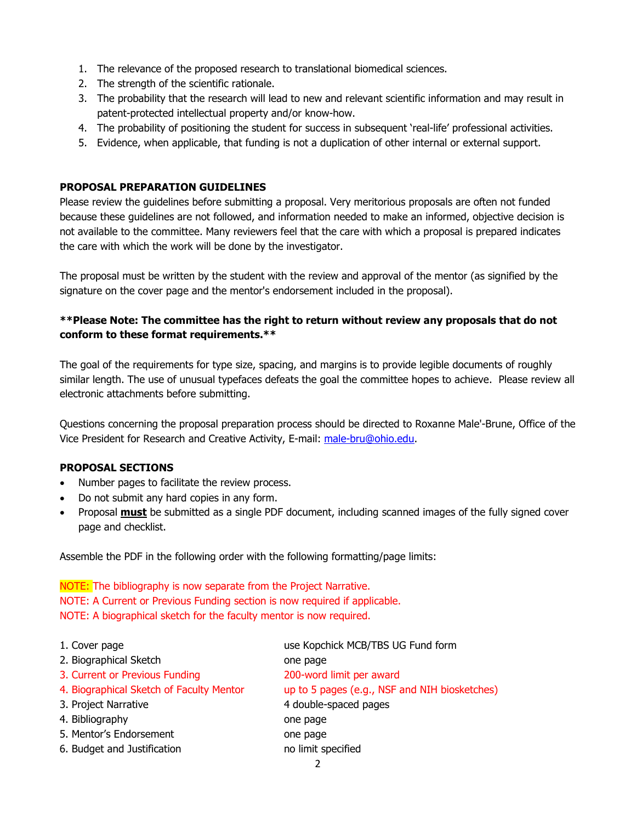- 1. The relevance of the proposed research to translational biomedical sciences.
- 2. The strength of the scientific rationale.
- 3. The probability that the research will lead to new and relevant scientific information and may result in patent-protected intellectual property and/or know-how.
- 4. The probability of positioning the student for success in subsequent 'real-life' professional activities.
- 5. Evidence, when applicable, that funding is not a duplication of other internal or external support.

#### **PROPOSAL PREPARATION GUIDELINES**

Please review the guidelines before submitting a proposal. Very meritorious proposals are often not funded because these guidelines are not followed, and information needed to make an informed, objective decision is not available to the committee. Many reviewers feel that the care with which a proposal is prepared indicates the care with which the work will be done by the investigator.

The proposal must be written by the student with the review and approval of the mentor (as signified by the signature on the cover page and the mentor's endorsement included in the proposal).

# **\*\*Please Note: The committee has the right to return without review any proposals that do not conform to these format requirements.\*\***

The goal of the requirements for type size, spacing, and margins is to provide legible documents of roughly similar length. The use of unusual typefaces defeats the goal the committee hopes to achieve. Please review all electronic attachments before submitting.

Questions concerning the proposal preparation process should be directed to Roxanne Male'-Brune, Office of the Vice President for Research and Creative Activity, E-mail: [male-bru@ohio.edu.](mailto:male-bru@ohio.edu)

## **PROPOSAL SECTIONS**

- Number pages to facilitate the review process.
- Do not submit any hard copies in any form.
- Proposal **must** be submitted as a single PDF document, including scanned images of the fully signed cover page and checklist.

Assemble the PDF in the following order with the following formatting/page limits:

NOTE: The bibliography is now separate from the Project Narrative. NOTE: A Current or Previous Funding section is now required if applicable. NOTE: A biographical sketch for the faculty mentor is now required.

| 1. Cover page                            | use Kopchick MCB/TBS UG Fund form             |
|------------------------------------------|-----------------------------------------------|
| 2. Biographical Sketch                   | one page                                      |
| 3. Current or Previous Funding           | 200-word limit per award                      |
| 4. Biographical Sketch of Faculty Mentor | up to 5 pages (e.g., NSF and NIH biosketches) |
| 3. Project Narrative                     | 4 double-spaced pages                         |
| 4. Bibliography                          | one page                                      |
| 5. Mentor's Endorsement                  | one page                                      |
| 6. Budget and Justification              | no limit specified                            |
|                                          |                                               |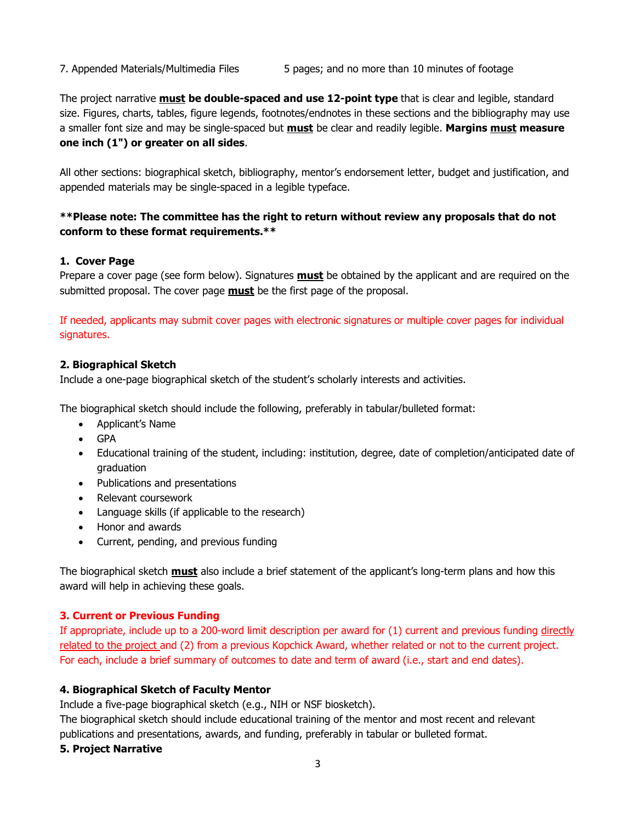The project narrative **must be double-spaced and use 12-point type** that is clear and legible, standard size. Figures, charts, tables, figure legends, footnotes/endnotes in these sections and the bibliography may use a smaller font size and may be single-spaced but **must** be clear and readily legible. **Margins must measure one inch (1") or greater on all sides**.

All other sections: biographical sketch, bibliography, mentor's endorsement letter, budget and justification, and appended materials may be single-spaced in a legible typeface.

# **\*\*Please note: The committee has the right to return without review any proposals that do not conform to these format requirements.\*\***

### **1. Cover Page**

Prepare a cover page (see form below). Signatures **must** be obtained by the applicant and are required on the submitted proposal. The cover page **must** be the first page of the proposal.

If needed, applicants may submit cover pages with electronic signatures or multiple cover pages for individual signatures.

### **2. Biographical Sketch**

Include a one-page biographical sketch of the student's scholarly interests and activities.

The biographical sketch should include the following, preferably in tabular/bulleted format:

- Applicant's Name
- GPA
- Educational training of the student, including: institution, degree, date of completion/anticipated date of graduation
- Publications and presentations
- Relevant coursework
- Language skills (if applicable to the research)
- Honor and awards
- Current, pending, and previous funding

The biographical sketch **must** also include a brief statement of the applicant's long-term plans and how this award will help in achieving these goals.

## **3. Current or Previous Funding**

If appropriate, include up to a 200-word limit description per award for (1) current and previous funding directly related to the project and (2) from a previous Kopchick Award, whether related or not to the current project. For each, include a brief summary of outcomes to date and term of award (i.e., start and end dates).

#### **4. Biographical Sketch of Faculty Mentor**

Include a five-page biographical sketch (e.g., NIH or NSF biosketch).

The biographical sketch should include educational training of the mentor and most recent and relevant publications and presentations, awards, and funding, preferably in tabular or bulleted format.

#### **5. Project Narrative**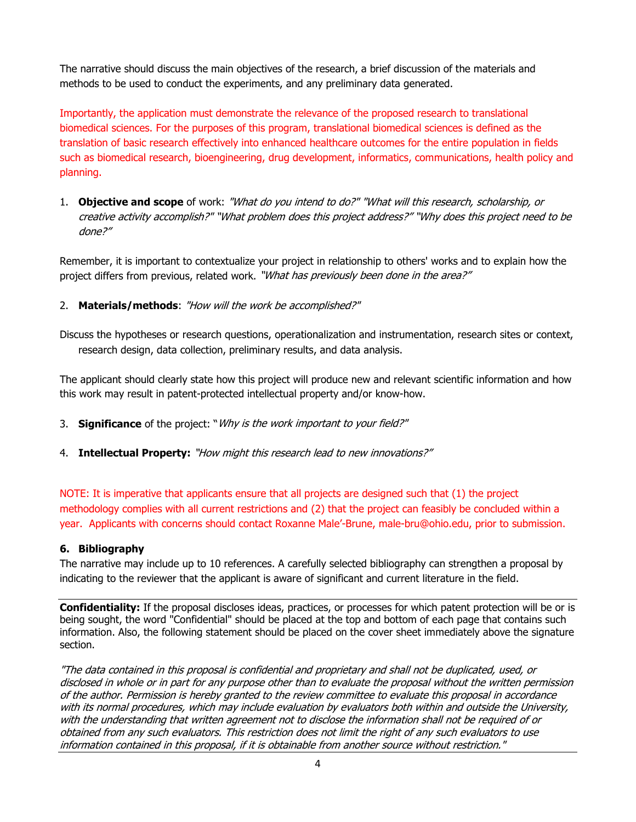The narrative should discuss the main objectives of the research, a brief discussion of the materials and methods to be used to conduct the experiments, and any preliminary data generated.

Importantly, the application must demonstrate the relevance of the proposed research to translational biomedical sciences. For the purposes of this program, translational biomedical sciences is defined as the translation of basic research effectively into enhanced healthcare outcomes for the entire population in fields such as biomedical research, bioengineering, drug development, informatics, communications, health policy and planning.

1. **Objective and scope** of work: "What do you intend to do?" "What will this research, scholarship, or creative activity accomplish?" "What problem does this project address?" "Why does this project need to be done?"

Remember, it is important to contextualize your project in relationship to others' works and to explain how the project differs from previous, related work. "What has previously been done in the area?"

## 2. **Materials/methods**: "How will the work be accomplished?"

Discuss the hypotheses or research questions, operationalization and instrumentation, research sites or context, research design, data collection, preliminary results, and data analysis.

The applicant should clearly state how this project will produce new and relevant scientific information and how this work may result in patent-protected intellectual property and/or know-how.

- 3. **Significance** of the project: "Why is the work important to your field?"
- 4. **Intellectual Property:** "How might this research lead to new innovations?"

NOTE: It is imperative that applicants ensure that all projects are designed such that (1) the project methodology complies with all current restrictions and (2) that the project can feasibly be concluded within a year. Applicants with concerns should contact Roxanne Male'-Brune, male-bru@ohio.edu, prior to submission.

#### **6. Bibliography**

The narrative may include up to 10 references. A carefully selected bibliography can strengthen a proposal by indicating to the reviewer that the applicant is aware of significant and current literature in the field.

**Confidentiality:** If the proposal discloses ideas, practices, or processes for which patent protection will be or is being sought, the word "Confidential" should be placed at the top and bottom of each page that contains such information. Also, the following statement should be placed on the cover sheet immediately above the signature section.

"The data contained in this proposal is confidential and proprietary and shall not be duplicated, used, or disclosed in whole or in part for any purpose other than to evaluate the proposal without the written permission of the author. Permission is hereby granted to the review committee to evaluate this proposal in accordance with its normal procedures, which may include evaluation by evaluators both within and outside the University, with the understanding that written agreement not to disclose the information shall not be required of or obtained from any such evaluators. This restriction does not limit the right of any such evaluators to use information contained in this proposal, if it is obtainable from another source without restriction."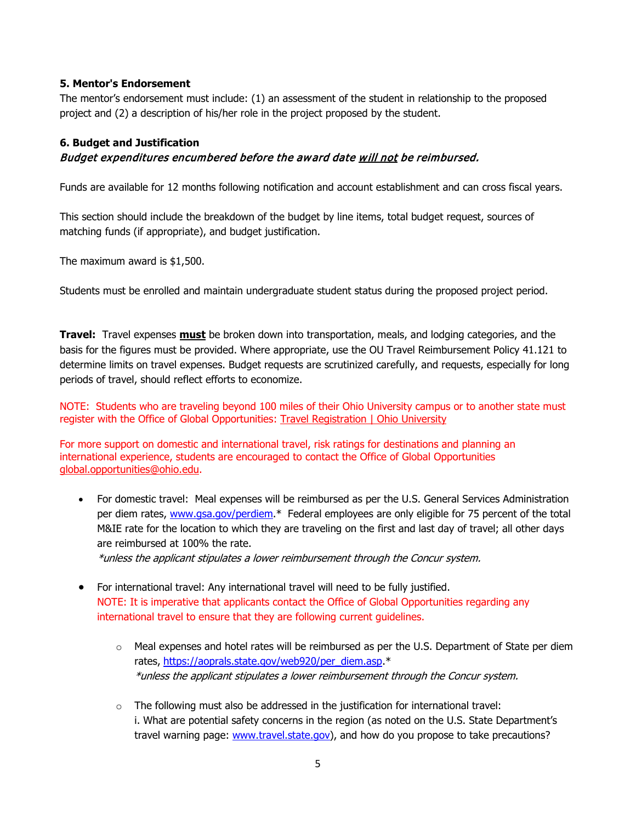### **5. Mentor's Endorsement**

The mentor's endorsement must include: (1) an assessment of the student in relationship to the proposed project and (2) a description of his/her role in the project proposed by the student.

## **6. Budget and Justification**

# Budget expenditures encumbered before the award date will not be reimbursed.

Funds are available for 12 months following notification and account establishment and can cross fiscal years.

This section should include the breakdown of the budget by line items, total budget request, sources of matching funds (if appropriate), and budget justification.

The maximum award is \$1,500.

Students must be enrolled and maintain undergraduate student status during the proposed project period.

**Travel:** Travel expenses **must** be broken down into transportation, meals, and lodging categories, and the basis for the figures must be provided. Where appropriate, use the OU Travel Reimbursement Policy 41.121 to determine limits on travel expenses. Budget requests are scrutinized carefully, and requests, especially for long periods of travel, should reflect efforts to economize.

NOTE: Students who are traveling beyond 100 miles of their Ohio University campus or to another state must register with the Office of Global Opportunities: [Travel Registration | Ohio University](https://www.ohio.edu/goglobal/travel)

For more support on domestic and international travel, risk ratings for destinations and planning an international experience, students are encouraged to contact the Office of Global Opportunities [global.opportunities@ohio.edu.](mailto:global.opportunities@ohio.edu)

• For domestic travel: Meal expenses will be reimbursed as per the U.S. General Services Administration per diem rates, [www.gsa.gov/perdiem.](http://www.gsa.gov/perdiem)\* Federal employees are only eligible for 75 percent of the total M&IE rate for the location to which they are traveling on the first and last day of travel; all other days are reimbursed at 100% the rate.

\*unless the applicant stipulates a lower reimbursement through the Concur system.

- For international travel: Any international travel will need to be fully justified. NOTE: It is imperative that applicants contact the Office of Global Opportunities regarding any international travel to ensure that they are following current guidelines.
	- $\circ$  Meal expenses and hotel rates will be reimbursed as per the U.S. Department of State per diem rates, [https://aoprals.state.gov/web920/per\\_diem.asp.](https://aoprals.state.gov/web920/per_diem.asp)\* \*unless the applicant stipulates a lower reimbursement through the Concur system.
	- $\circ$  The following must also be addressed in the justification for international travel: i. What are potential safety concerns in the region (as noted on the U.S. State Department's travel warning page: [www.travel.state.gov\)](http://www.travel.state.gov/), and how do you propose to take precautions?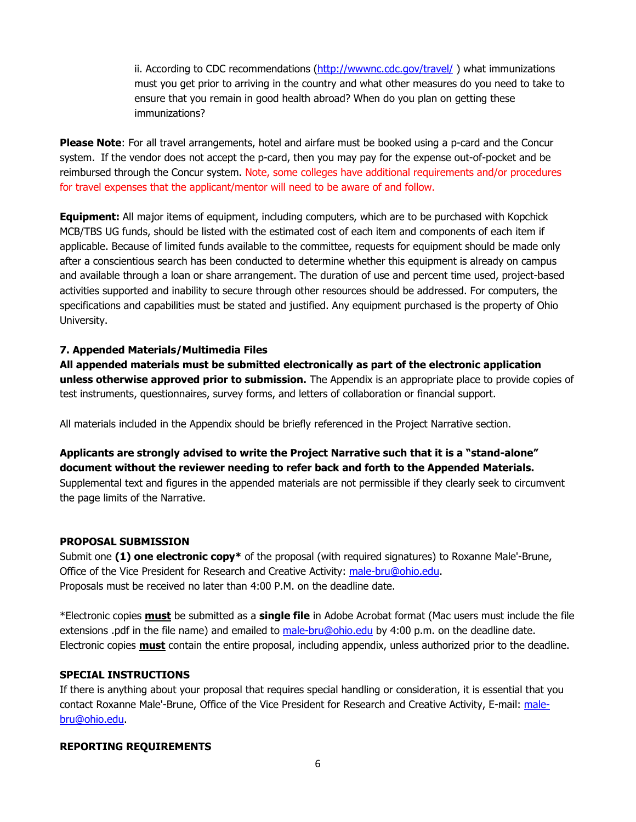ii. According to CDC recommendations [\(http://wwwnc.cdc.gov/travel/](http://wwwnc.cdc.gov/travel/) ) what immunizations must you get prior to arriving in the country and what other measures do you need to take to ensure that you remain in good health abroad? When do you plan on getting these immunizations?

**Please Note**: For all travel arrangements, hotel and airfare must be booked using a p-card and the Concur system. If the vendor does not accept the p-card, then you may pay for the expense out-of-pocket and be reimbursed through the Concur system. Note, some colleges have additional requirements and/or procedures for travel expenses that the applicant/mentor will need to be aware of and follow.

**Equipment:** All major items of equipment, including computers, which are to be purchased with Kopchick MCB/TBS UG funds, should be listed with the estimated cost of each item and components of each item if applicable. Because of limited funds available to the committee, requests for equipment should be made only after a conscientious search has been conducted to determine whether this equipment is already on campus and available through a loan or share arrangement. The duration of use and percent time used, project-based activities supported and inability to secure through other resources should be addressed. For computers, the specifications and capabilities must be stated and justified. Any equipment purchased is the property of Ohio University.

#### **7. Appended Materials/Multimedia Files**

**All appended materials must be submitted electronically as part of the electronic application unless otherwise approved prior to submission.** The Appendix is an appropriate place to provide copies of test instruments, questionnaires, survey forms, and letters of collaboration or financial support.

All materials included in the Appendix should be briefly referenced in the Project Narrative section.

**Applicants are strongly advised to write the Project Narrative such that it is a "stand-alone" document without the reviewer needing to refer back and forth to the Appended Materials.** Supplemental text and figures in the appended materials are not permissible if they clearly seek to circumvent the page limits of the Narrative.

#### **PROPOSAL SUBMISSION**

Submit one **(1) one electronic copy\*** of the proposal (with required signatures) to Roxanne Male'-Brune, Office of the Vice President for Research and Creative Activity: [male-bru@ohio.edu.](mailto:male-bru@ohio.edu) Proposals must be received no later than 4:00 P.M. on the deadline date.

\*Electronic copies **must** be submitted as a **single file** in Adobe Acrobat format (Mac users must include the file extensions .pdf in the file name) and emailed to [male-bru@ohio.edu](mailto:male-bru@ohio.edu) by 4:00 p.m. on the deadline date. Electronic copies **must** contain the entire proposal, including appendix, unless authorized prior to the deadline.

#### **SPECIAL INSTRUCTIONS**

If there is anything about your proposal that requires special handling or consideration, it is essential that you contact Roxanne Male'-Brune, Office of the Vice President for Research and Creative Activity, E-mail: [male](mailto:male-bru@ohio.edu)[bru@ohio.edu.](mailto:male-bru@ohio.edu)

## **REPORTING REQUIREMENTS**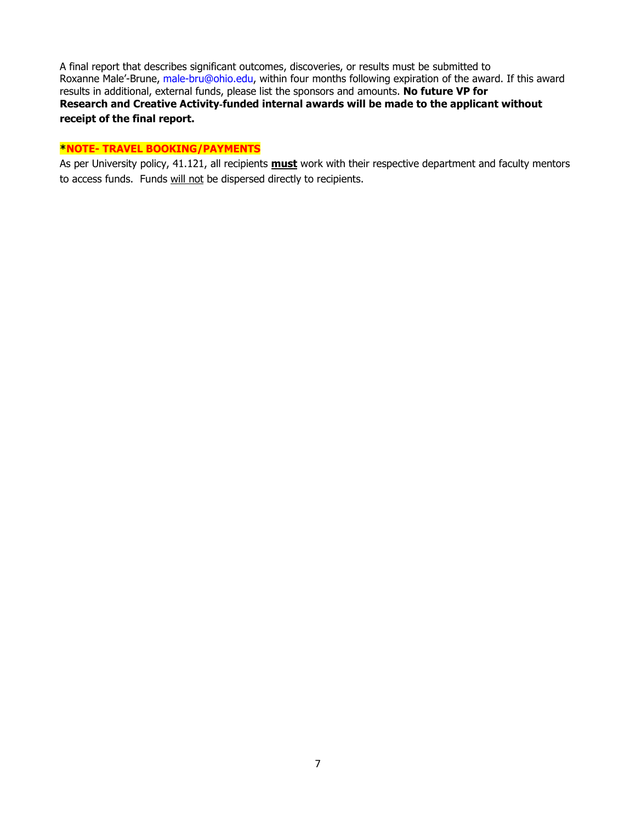A final report that describes significant outcomes, discoveries, or results must be submitted to Roxanne Male'-Brune, male-bru@ohio.edu, within four months following expiration of the award. If this award results in additional, external funds, please list the sponsors and amounts. **No future VP for Research and Creative Activity**‐**funded internal awards will be made to the applicant without receipt of the final report.**

### **\*NOTE- TRAVEL BOOKING/PAYMENTS**

As per University policy, 41.121, all recipients **must** work with their respective department and faculty mentors to access funds. Funds will not be dispersed directly to recipients.